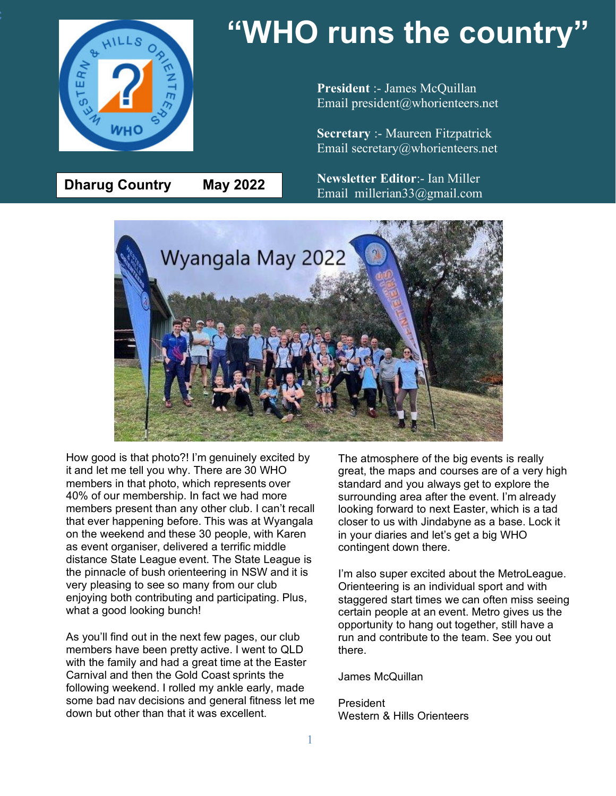

**Dharug Country May 2022**

# **"WHO runs the country"**

**President** :- James McQuillan Email president@whorienteers.net

**Secretary** :- Maureen Fitzpatrick Email secretary@whorienteers.net

**Newsletter Editor**:- Ian Miller Email millerian33@gmail.com



How good is that photo?! I'm genuinely excited by it and let me tell you why. There are 30 WHO members in that photo, which represents over 40% of our membership. In fact we had more members present than any other club. I can't recall that ever happening before. This was at Wyangala on the weekend and these 30 people, with Karen as event organiser, delivered a terrific middle distance State League event. The State League is the pinnacle of bush orienteering in NSW and it is very pleasing to see so many from our club enjoying both contributing and participating. Plus, what a good looking bunch!

As you'll find out in the next few pages, our club members have been pretty active. I went to QLD with the family and had a great time at the Easter Carnival and then the Gold Coast sprints the following weekend. I rolled my ankle early, made some bad nav decisions and general fitness let me down but other than that it was excellent.

The atmosphere of the big events is really great, the maps and courses are of a very high standard and you always get to explore the surrounding area after the event. I'm already looking forward to next Easter, which is a tad closer to us with Jindabyne as a base. Lock it in your diaries and let's get a big WHO contingent down there.

I'm also super excited about the MetroLeague. Orienteering is an individual sport and with staggered start times we can often miss seeing certain people at an event. Metro gives us the opportunity to hang out together, still have a run and contribute to the team. See you out there.

#### James McQuillan

President Western & Hills Orienteers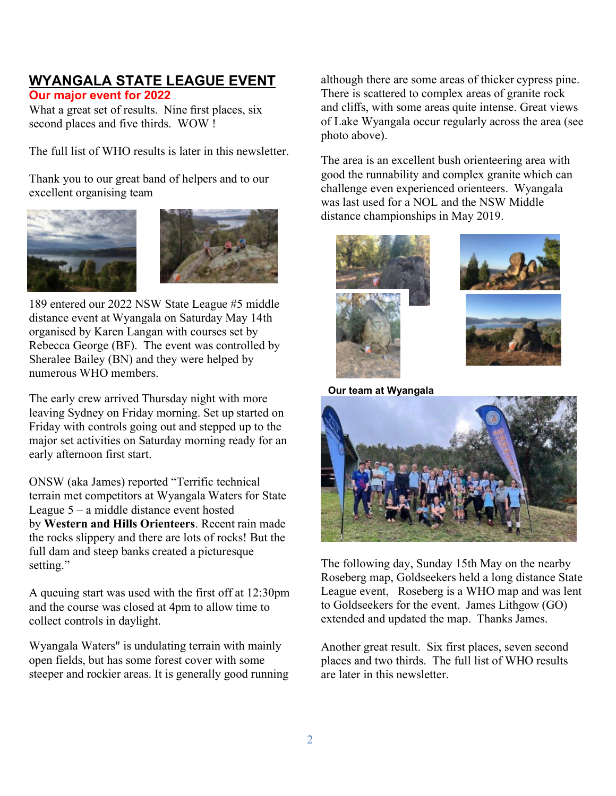# **WYANGALA STATE LEAGUE EVENT**

### **Our major event for 2022**

What a great set of results. Nine first places, six second places and five thirds. WOW !

The full list of WHO results is later in this newsletter.

Thank you to our great band of helpers and to our excellent organising team





189 entered our 2022 NSW State League #5 middle distance event at Wyangala on Saturday May 14th organised by Karen Langan with courses set by Rebecca George (BF). The event was controlled by Sheralee Bailey (BN) and they were helped by numerous WHO members.

The early crew arrived Thursday night with more leaving Sydney on Friday morning. Set up started on Friday with controls going out and stepped up to the major set activities on Saturday morning ready for an early afternoon first start.

ONSW (aka James) reported "Terrific technical terrain met competitors at Wyangala Waters for State League  $5 - a$  middle distance event hosted by **Western and Hills Orienteers**. Recent rain made the rocks slippery and there are lots of rocks! But the full dam and steep banks created a picturesque setting."

A queuing start was used with the first off at 12:30pm and the course was closed at 4pm to allow time to collect controls in daylight.

Wyangala Waters" is undulating terrain with mainly open fields, but has some forest cover with some steeper and rockier areas. It is generally good running although there are some areas of thicker cypress pine. There is scattered to complex areas of granite rock and cliffs, with some areas quite intense. Great views of Lake Wyangala occur regularly across the area (see photo above).

The area is an excellent bush orienteering area with good the runnability and complex granite which can challenge even experienced orienteers. Wyangala was last used for a NOL and the NSW Middle distance championships in May 2019.



**Our team at Wyangala**



The following day, Sunday 15th May on the nearby Roseberg map, Goldseekers held a long distance State League event, Roseberg is a WHO map and was lent to Goldseekers for the event. James Lithgow (GO) extended and updated the map. Thanks James.

Another great result. Six first places, seven second places and two thirds. The full list of WHO results are later in this newsletter.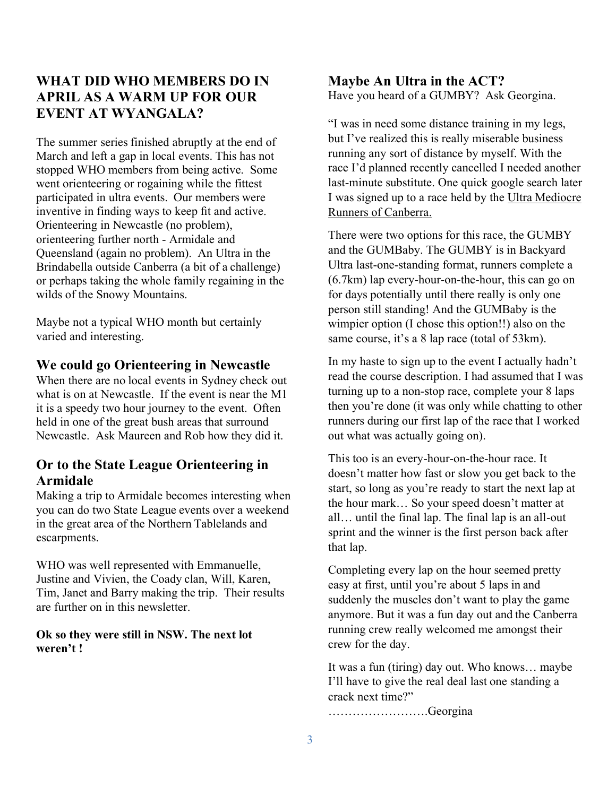# **WHAT DID WHO MEMBERS DO IN APRIL AS A WARM UP FOR OUR EVENT AT WYANGALA?**

The summer series finished abruptly at the end of March and left a gap in local events. This has not stopped WHO members from being active. Some went orienteering or rogaining while the fittest participated in ultra events. Our members were inventive in finding ways to keep fit and active. Orienteering in Newcastle (no problem), orienteering further north - Armidale and Queensland (again no problem). An Ultra in the Brindabella outside Canberra (a bit of a challenge) or perhaps taking the whole family regaining in the wilds of the Snowy Mountains.

Maybe not a typical WHO month but certainly varied and interesting.

### **We could go Orienteering in Newcastle**

When there are no local events in Sydney check out what is on at Newcastle. If the event is near the M1 it is a speedy two hour journey to the event. Often held in one of the great bush areas that surround Newcastle. Ask Maureen and Rob how they did it.

### **Or to the State League Orienteering in Armidale**

Making a trip to Armidale becomes interesting when you can do two State League events over a weekend in the great area of the Northern Tablelands and escarpments.

WHO was well represented with Emmanuelle, Justine and Vivien, the Coady clan, Will, Karen, Tim, Janet and Barry making the trip. Their results are further on in this newsletter.

#### **Ok so they were still in NSW. The next lot weren't !**

#### **Maybe An Ultra in the ACT?** Have you heard of a GUMBY? Ask Georgina.

"I was in need some distance training in my legs, but I've realized this is really miserable business running any sort of distance by myself. With the race I'd planned recently cancelled I needed another last-minute substitute. One quick google search later I was signed up to a race held by the Ultra Mediocre Runners of Canberra.

There were two options for this race, the GUMBY and the GUMBaby. The GUMBY is in Backyard Ultra last-one-standing format, runners complete a (6.7km) lap every-hour-on-the-hour, this can go on for days potentially until there really is only one person still standing! And the GUMBaby is the wimpier option (I chose this option!!) also on the same course, it's a 8 lap race (total of 53km).

In my haste to sign up to the event I actually hadn't read the course description. I had assumed that I was turning up to a non-stop race, complete your 8 laps then you're done (it was only while chatting to other runners during our first lap of the race that I worked out what was actually going on).

This too is an every-hour-on-the-hour race. It doesn't matter how fast or slow you get back to the start, so long as you're ready to start the next lap at the hour mark… So your speed doesn't matter at all… until the final lap. The final lap is an all-out sprint and the winner is the first person back after that lap.

Completing every lap on the hour seemed pretty easy at first, until you're about 5 laps in and suddenly the muscles don't want to play the game anymore. But it was a fun day out and the Canberra running crew really welcomed me amongst their crew for the day.

It was a fun (tiring) day out. Who knows… maybe I'll have to give the real deal last one standing a crack next time?"

…………………….Georgina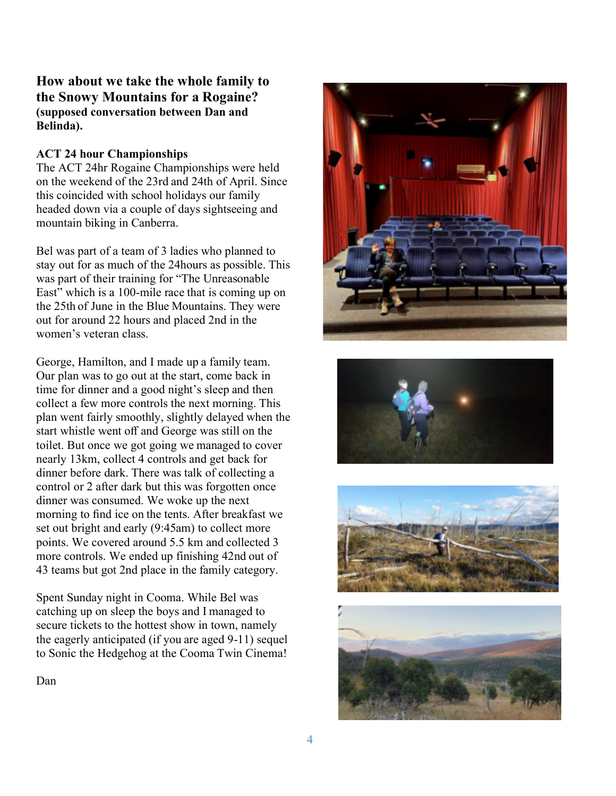### **How about we take the whole family to the Snowy Mountains for a Rogaine? (supposed conversation between Dan and Belinda).**

### **ACT 24 hour Championships**

The ACT 24hr Rogaine Championships were held on the weekend of the 23rd and 24th of April. Since this coincided with school holidays our family headed down via a couple of days sightseeing and mountain biking in Canberra.

Bel was part of a team of 3 ladies who planned to stay out for as much of the 24hours as possible. This was part of their training for "The Unreasonable East" which is a 100-mile race that is coming up on the 25th of June in the Blue Mountains. They were out for around 22 hours and placed 2nd in the women's veteran class.

George, Hamilton, and I made up a family team. Our plan was to go out at the start, come back in time for dinner and a good night's sleep and then collect a few more controls the next morning. This plan went fairly smoothly, slightly delayed when the start whistle went off and George was still on the toilet. But once we got going we managed to cover nearly 13km, collect 4 controls and get back for dinner before dark. There was talk of collecting a control or 2 after dark but this was forgotten once dinner was consumed. We woke up the next morning to find ice on the tents. After breakfast we set out bright and early (9:45am) to collect more points. We covered around 5.5 km and collected 3 more controls. We ended up finishing 42nd out of 43 teams but got 2nd place in the family category.

Spent Sunday night in Cooma. While Bel was catching up on sleep the boys and I managed to secure tickets to the hottest show in town, namely the eagerly anticipated (if you are aged 9-11) sequel to Sonic the Hedgehog at the Cooma Twin Cinema!









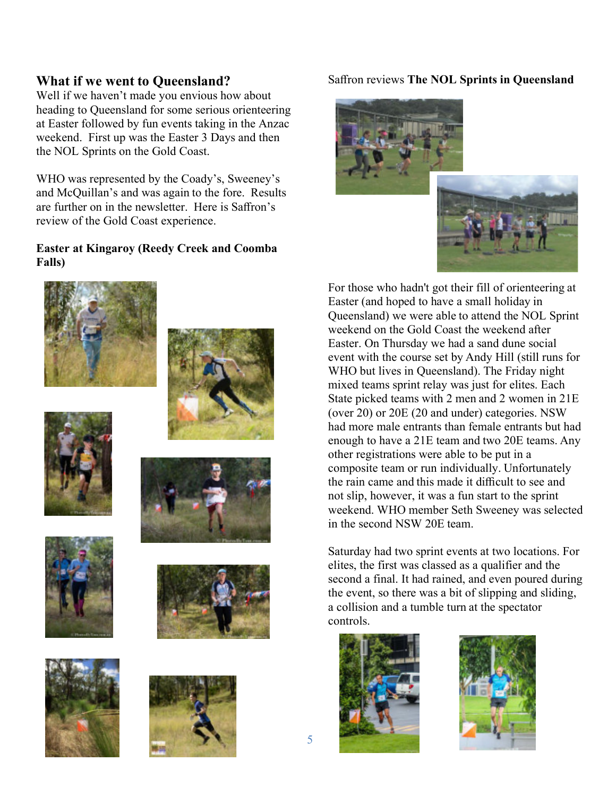### **What if we went to Queensland?**

Well if we haven't made you envious how about heading to Queensland for some serious orienteering at Easter followed by fun events taking in the Anzac weekend. First up was the Easter 3 Days and then the NOL Sprints on the Gold Coast.

WHO was represented by the Coady's, Sweeney's and McQuillan's and was again to the fore. Results are further on in the newsletter. Here is Saffron's review of the Gold Coast experience.

### **Easter at Kingaroy (Reedy Creek and Coomba Falls)**

















### Saffron reviews **The NOL Sprints in Queensland**





For those who hadn't got their fill of orienteering at Easter (and hoped to have a small holiday in Queensland) we were able to attend the NOL Sprint weekend on the Gold Coast the weekend after Easter. On Thursday we had a sand dune social event with the course set by Andy Hill (still runs for WHO but lives in Queensland). The Friday night mixed teams sprint relay was just for elites. Each State picked teams with 2 men and 2 women in 21E (over 20) or 20E (20 and under) categories. NSW had more male entrants than female entrants but had enough to have a 21E team and two 20E teams. Any other registrations were able to be put in a composite team or run individually. Unfortunately the rain came and this made it difficult to see and not slip, however, it was a fun start to the sprint weekend. WHO member Seth Sweeney was selected in the second NSW 20E team.

Saturday had two sprint events at two locations. For elites, the first was classed as a qualifier and the second a final. It had rained, and even poured during the event, so there was a bit of slipping and sliding, a collision and a tumble turn at the spectator controls.



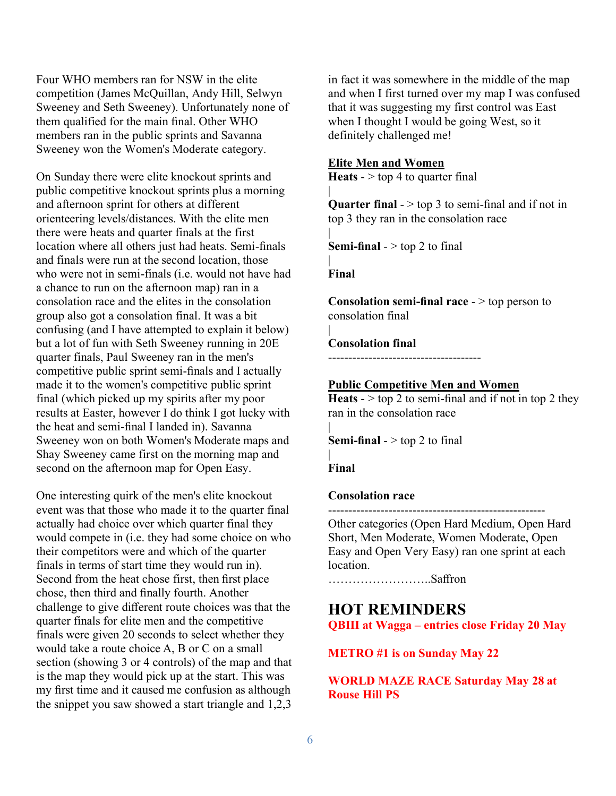Four WHO members ran for NSW in the elite competition (James McQuillan, Andy Hill, Selwyn Sweeney and Seth Sweeney). Unfortunately none of them qualified for the main final. Other WHO members ran in the public sprints and Savanna Sweeney won the Women's Moderate category.

On Sunday there were elite knockout sprints and public competitive knockout sprints plus a morning and afternoon sprint for others at different orienteering levels/distances. With the elite men there were heats and quarter finals at the first location where all others just had heats. Semi-finals and finals were run at the second location, those who were not in semi-finals (i.e. would not have had a chance to run on the afternoon map) ran in a consolation race and the elites in the consolation group also got a consolation final. It was a bit confusing (and I have attempted to explain it below) but a lot of fun with Seth Sweeney running in 20E quarter finals, Paul Sweeney ran in the men's competitive public sprint semi-finals and I actually made it to the women's competitive public sprint final (which picked up my spirits after my poor results at Easter, however I do think I got lucky with the heat and semi-final I landed in). Savanna Sweeney won on both Women's Moderate maps and Shay Sweeney came first on the morning map and second on the afternoon map for Open Easy.

One interesting quirk of the men's elite knockout event was that those who made it to the quarter final actually had choice over which quarter final they would compete in (i.e. they had some choice on who their competitors were and which of the quarter finals in terms of start time they would run in). Second from the heat chose first, then first place chose, then third and finally fourth. Another challenge to give different route choices was that the quarter finals for elite men and the competitive finals were given 20 seconds to select whether they would take a route choice A, B or C on a small section (showing 3 or 4 controls) of the map and that is the map they would pick up at the start. This was my first time and it caused me confusion as although the snippet you saw showed a start triangle and 1,2,3

in fact it was somewhere in the middle of the map and when I first turned over my map I was confused that it was suggesting my first control was East when I thought I would be going West, so it definitely challenged me!

#### **Elite Men and Women**

**Heats** -  $>$  top 4 to quarter final

**Quarter final** -  $>$  top 3 to semi-final and if not in top 3 they ran in the consolation race

**Semi-final**  $-$  top 2 to final

**Final**

|

|

|

|

|

**Consolation semi-final race** - > top person to consolation final

#### **Consolation final**

--------------------------------------

#### **Public Competitive Men and Women**

**Heats**  $\frac{1}{2}$  to semi-final and if not in top 2 they ran in the consolation race

**Semi-final**  $>$  top 2 to final

| **Final**

#### **Consolation race**

------------------------------------------------------ Other categories (Open Hard Medium, Open Hard Short, Men Moderate, Women Moderate, Open Easy and Open Very Easy) ran one sprint at each location.

……………………..Saffron

### **HOT REMINDERS**

**QBIII at Wagga – entries close Friday 20 May**

**METRO #1 is on Sunday May 22**

**WORLD MAZE RACE Saturday May 28 at Rouse Hill PS**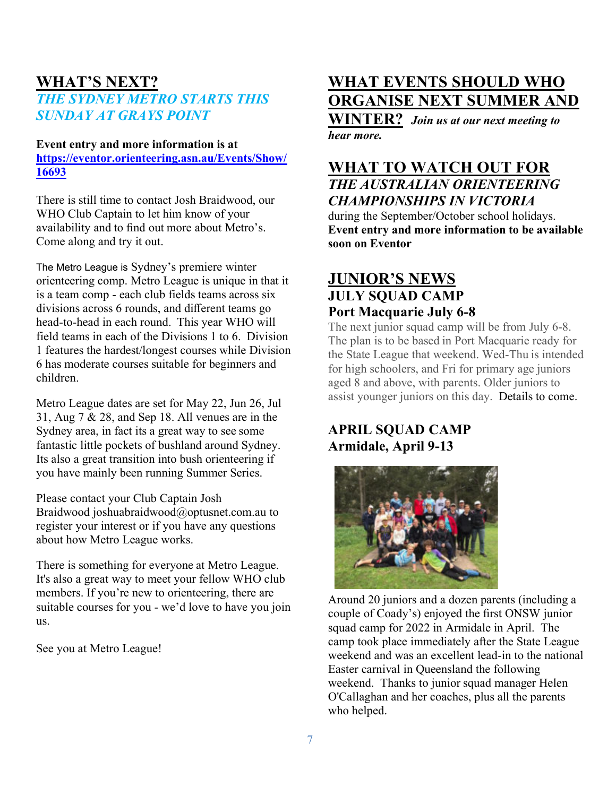# **WHAT'S NEXT?** *THE SYDNEY METRO STARTS THIS SUNDAY AT GRAYS POINT*

### **Event entry and more information is at https://eventor.orienteering.asn.au/Events/Show/ 16693**

There is still time to contact Josh Braidwood, our WHO Club Captain to let him know of your availability and to find out more about Metro's. Come along and try it out.

The Metro League is Sydney's premiere winter orienteering comp. Metro League is unique in that it is a team comp - each club fields teams across six divisions across 6 rounds, and different teams go head-to-head in each round. This year WHO will field teams in each of the Divisions 1 to 6. Division 1 features the hardest/longest courses while Division 6 has moderate courses suitable for beginners and children.

Metro League dates are set for May 22, Jun 26, Jul 31, Aug 7 & 28, and Sep 18. All venues are in the Sydney area, in fact its a great way to see some fantastic little pockets of bushland around Sydney. Its also a great transition into bush orienteering if you have mainly been running Summer Series.

Please contact your Club Captain Josh Braidwood joshuabraidwood@optusnet.com.au to register your interest or if you have any questions about how Metro League works.

There is something for everyone at Metro League. It's also a great way to meet your fellow WHO club members. If you're new to orienteering, there are suitable courses for you - we'd love to have you join us.

See you at Metro League!

# **WHAT EVENTS SHOULD WHO ORGANISE NEXT SUMMER AND**

**WINTER?** *Join us at our next meeting to hear more.*

### **WHAT TO WATCH OUT FOR** *THE AUSTRALIAN ORIENTEERING*

*CHAMPIONSHIPS IN VICTORIA*

during the September/October school holidays. **Event entry and more information to be available soon on Eventor**

# **JUNIOR'S NEWS JULY SQUAD CAMP Port Macquarie July 6-8**

The next junior squad camp will be from July 6-8. The plan is to be based in Port Macquarie ready for the State League that weekend. Wed-Thu is intended for high schoolers, and Fri for primary age juniors aged 8 and above, with parents. Older juniors to assist younger juniors on this day. Details to come.

# **APRIL SQUAD CAMP Armidale, April 9-13**



Around 20 juniors and a dozen parents (including a couple of Coady's) enjoyed the first ONSW junior squad camp for 2022 in Armidale in April. The camp took place immediately after the State League weekend and was an excellent lead-in to the national Easter carnival in Queensland the following weekend. Thanks to junior squad manager Helen O'Callaghan and her coaches, plus all the parents who helped.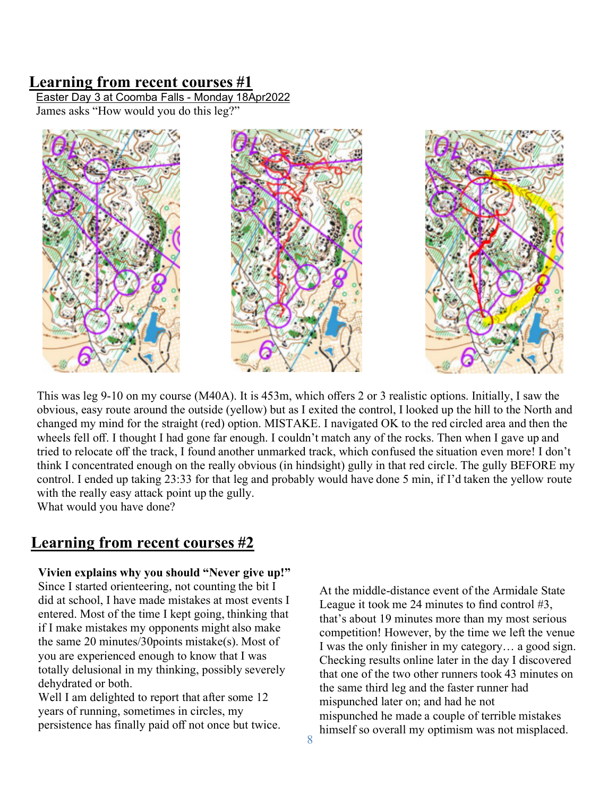### **Learning from recent courses #1**

Easter Day 3 at Coomba Falls - Monday 18Apr2022 James asks "How would you do this leg?"



This was leg 9-10 on my course (M40A). It is 453m, which offers 2 or 3 realistic options. Initially, I saw the obvious, easy route around the outside (yellow) but as I exited the control, I looked up the hill to the North and changed my mind for the straight (red) option. MISTAKE. I navigated OK to the red circled area and then the wheels fell off. I thought I had gone far enough. I couldn't match any of the rocks. Then when I gave up and tried to relocate off the track, I found another unmarked track, which confused the situation even more! I don't think I concentrated enough on the really obvious (in hindsight) gully in that red circle. The gully BEFORE my control. I ended up taking 23:33 for that leg and probably would have done 5 min, if I'd taken the yellow route with the really easy attack point up the gully.

What would you have done?

# **Learning from recent courses #2**

#### **Vivien explains why you should "Never give up!"**

Since I started orienteering, not counting the bit I did at school, I have made mistakes at most events I entered. Most of the time I kept going, thinking that if I make mistakes my opponents might also make the same 20 minutes/30points mistake(s). Most of you are experienced enough to know that I was totally delusional in my thinking, possibly severely dehydrated or both.

Well I am delighted to report that after some 12 years of running, sometimes in circles, my persistence has finally paid off not once but twice.

At the middle-distance event of the Armidale State League it took me 24 minutes to find control #3. that's about 19 minutes more than my most serious competition! However, by the time we left the venue I was the only finisher in my category… a good sign. Checking results online later in the day I discovered that one of the two other runners took 43 minutes on the same third leg and the faster runner had mispunched later on; and had he not mispunched he made a couple of terrible mistakes himself so overall my optimism was not misplaced.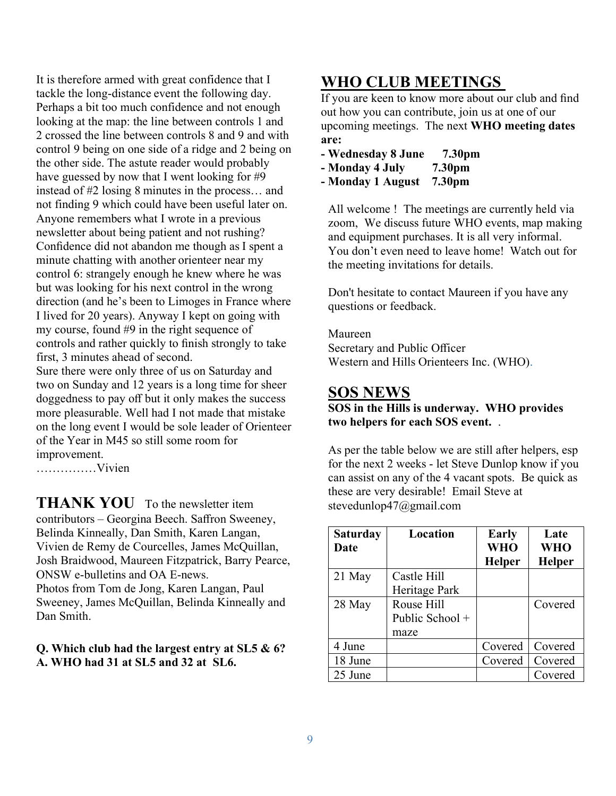It is therefore armed with great confidence that I tackle the long-distance event the following day. Perhaps a bit too much confidence and not enough looking at the map: the line between controls 1 and 2 crossed the line between controls 8 and 9 and with control 9 being on one side of a ridge and 2 being on the other side. The astute reader would probably have guessed by now that I went looking for #9 instead of #2 losing 8 minutes in the process… and not finding 9 which could have been useful later on. Anyone remembers what I wrote in a previous newsletter about being patient and not rushing? Confidence did not abandon me though as I spent a minute chatting with another orienteer near my control 6: strangely enough he knew where he was but was looking for his next control in the wrong direction (and he's been to Limoges in France where I lived for 20 years). Anyway I kept on going with my course, found #9 in the right sequence of controls and rather quickly to finish strongly to take first, 3 minutes ahead of second.

Sure there were only three of us on Saturday and two on Sunday and 12 years is a long time for sheer doggedness to pay off but it only makes the success more pleasurable. Well had I not made that mistake on the long event I would be sole leader of Orienteer of the Year in M45 so still some room for improvement.

……………Vivien

**THANK YOU** To the newsletter item contributors – Georgina Beech. Saffron Sweeney, Belinda Kinneally, Dan Smith, Karen Langan, Vivien de Remy de Courcelles, James McQuillan, Josh Braidwood, Maureen Fitzpatrick, Barry Pearce, ONSW e-bulletins and OA E-news. Photos from Tom de Jong, Karen Langan, Paul Sweeney, James McQuillan, Belinda Kinneally and Dan Smith.

### **Q. Which club had the largest entry at SL5 & 6? A. WHO had 31 at SL5 and 32 at SL6.**

# **WHO CLUB MEETINGS**

If you are keen to know more about our club and find out how you can contribute, join us at one of our upcoming meetings. The next **WHO meeting dates are:**

- **Wednesday 8 June 7.30pm**
- **- Monday 4 July 7.30pm**
- **- Monday 1 August 7.30pm**

All welcome ! The meetings are currently held via zoom, We discuss future WHO events, map making and equipment purchases. It is all very informal. You don't even need to leave home! Watch out for the meeting invitations for details.

Don't hesitate to contact Maureen if you have any questions or feedback.

Maureen Secretary and Public Officer Western and Hills Orienteers Inc. (WHO).

# **SOS NEWS**

**SOS in the Hills is underway. WHO provides two helpers for each SOS event.** .

As per the table below we are still after helpers, esp for the next 2 weeks - let Steve Dunlop know if you can assist on any of the 4 vacant spots. Be quick as these are very desirable! Email Steve at stevedunlop47@gmail.com

| <b>Saturday</b><br>Date | Location        | Early<br>WHO  | Late<br><b>WHO</b> |
|-------------------------|-----------------|---------------|--------------------|
|                         |                 | <b>Helper</b> | <b>Helper</b>      |
| 21 May                  | Castle Hill     |               |                    |
|                         | Heritage Park   |               |                    |
| 28 May                  | Rouse Hill      |               | Covered            |
|                         | Public School + |               |                    |
|                         | maze            |               |                    |
| 4 June                  |                 | Covered       | Covered            |
| 18 June                 |                 | Covered       | Covered            |
| 25 June                 |                 |               | Covered            |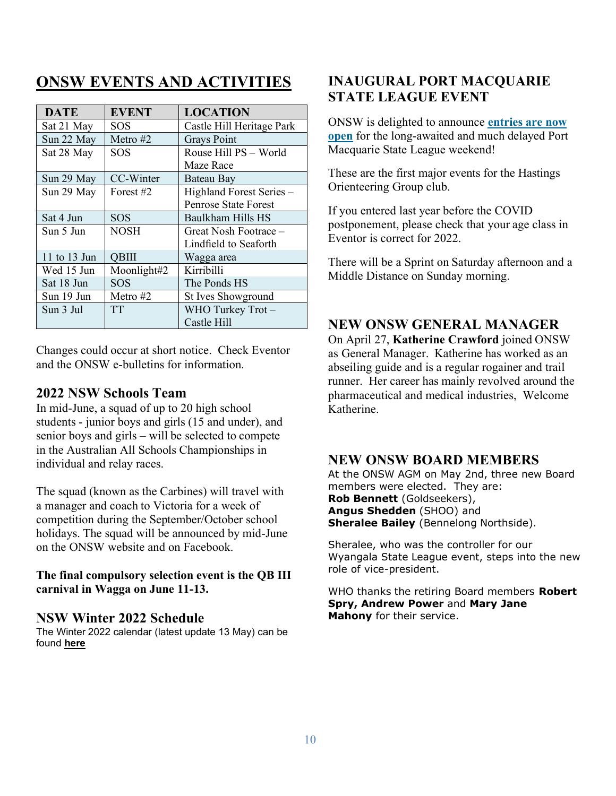# **ONSW EVENTS AND ACTIVITIES**

| <b>DATE</b>  | <b>EVENT</b> | <b>LOCATION</b>             |
|--------------|--------------|-----------------------------|
| Sat 21 May   | <b>SOS</b>   | Castle Hill Heritage Park   |
| Sun 22 May   | Metro $#2$   | <b>Grays Point</b>          |
| Sat 28 May   | SOS          | Rouse Hill PS - World       |
|              |              | Maze Race                   |
| Sun 29 May   | CC-Winter    | <b>Bateau Bay</b>           |
| Sun 29 May   | Forest #2    | Highland Forest Series -    |
|              |              | <b>Penrose State Forest</b> |
| Sat 4 Jun    | <b>SOS</b>   | Baulkham Hills HS           |
| Sun 5 Jun    | <b>NOSH</b>  | Great Nosh Footrace –       |
|              |              | Lindfield to Seaforth       |
| 11 to 13 Jun | <b>QBIII</b> | Wagga area                  |
| Wed 15 Jun   | Moonlight#2  | Kirribilli                  |
| Sat 18 Jun   | <b>SOS</b>   | The Ponds HS                |
| Sun 19 Jun   | Metro #2     | <b>St Ives Showground</b>   |
| Sun 3 Jul    | <b>TT</b>    | WHO Turkey Trot-            |
|              |              | Castle Hill                 |

Changes could occur at short notice. Check Eventor and the ONSW e-bulletins for information.

### **2022 NSW Schools Team**

In mid-June, a squad of up to 20 high school students - junior boys and girls (15 and under), and senior boys and girls – will be selected to compete in the Australian All Schools Championships in individual and relay races.

The squad (known as the Carbines) will travel with a manager and coach to Victoria for a week of competition during the September/October school holidays. The squad will be announced by mid-June on the ONSW website and on Facebook.

### **The final compulsory selection event is the QB III carnival in Wagga on June 11-13.**

### **NSW Winter 2022 Schedule**

The Winter 2022 calendar (latest update 13 May) can be found **here**

# **INAUGURAL PORT MACQUARIE STATE LEAGUE EVENT**

ONSW is delighted to announce **entries are now open** for the long-awaited and much delayed Port Macquarie State League weekend!

These are the first major events for the Hastings Orienteering Group club.

If you entered last year before the COVID postponement, please check that your age class in Eventor is correct for 2022.

There will be a Sprint on Saturday afternoon and a Middle Distance on Sunday morning.

# **NEW ONSW GENERAL MANAGER**

On April 27, **Katherine Crawford** joined ONSW as General Manager. Katherine has worked as an abseiling guide and is a regular rogainer and trail runner. Her career has mainly revolved around the pharmaceutical and medical industries, Welcome Katherine.

### **NEW ONSW BOARD MEMBERS**

At the ONSW AGM on May 2nd, three new Board members were elected. They are: **Rob Bennett** (Goldseekers), **Angus Shedden** (SHOO) and **Sheralee Bailey** (Bennelong Northside).

Sheralee, who was the controller for our Wyangala State League event, steps into the new role of vice-president.

WHO thanks the retiring Board members **Robert Spry, Andrew Power** and **Mary Jane Mahony** for their service.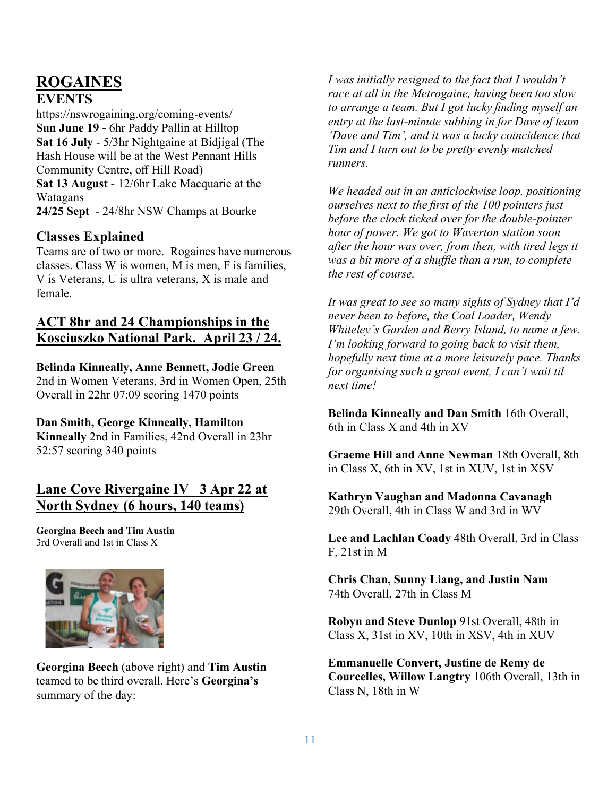# **ROGAINES**

### **EVENTS**

https://nswrogaining.org/coming-events/ **Sun June 19** - 6hr Paddy Pallin at Hilltop **Sat 16 July** - 5/3hr Nightgaine at Bidjigal (The Hash House will be at the West Pennant Hills Community Centre, off Hill Road) **Sat 13 August** - 12/6hr Lake Macquarie at the Watagans **24/25 Sept** - 24/8hr NSW Champs at Bourke

# **Classes Explained**

Teams are of two or more. Rogaines have numerous classes. Class W is women, M is men, F is families, V is Veterans, U is ultra veterans, X is male and female.

# **ACT 8hr and 24 Championships in the Kosciuszko National Park. April 23 / 24.**

### **Belinda Kinneally, Anne Bennett, Jodie Green**

2nd in Women Veterans, 3rd in Women Open, 25th Overall in 22hr 07:09 scoring 1470 points

**Dan Smith, George Kinneally, Hamilton**

**Kinneally** 2nd in Families, 42nd Overall in 23hr 52:57 scoring 340 points

# **Lane Cove Rivergaine IV 3 Apr 22 at North Sydney (6 hours, 140 teams)**

**Georgina Beech and Tim Austin** 3rd Overall and 1st in Class X



**Georgina Beech** (above right) and **Tim Austin** teamed to be third overall. Here's **Georgina's** summary of the day:

*I was initially resigned to the fact that I wouldn't race at all in the Metrogaine, having been too slow to arrange a team. But I got lucky finding myself an entry at the last-minute subbing in for Dave of team 'Dave and Tim', and it was a lucky coincidence that Tim and I turn out to be pretty evenly matched runners.*

*We headed out in an anticlockwise loop, positioning ourselves next to the first of the 100 pointers just before the clock ticked over for the double-pointer hour of power. We got to Waverton station soon after the hour was over, from then, with tired legs it was a bit more of a shuffle than a run, to complete the rest of course.*

*It was great to see so many sights of Sydney that I'd never been to before, the Coal Loader, Wendy Whiteley's Garden and Berry Island, to name a few. I'm looking forward to going back to visit them, hopefully next time at a more leisurely pace. Thanks for organising such a great event, I can't wait til next time!*

**Belinda Kinneally and Dan Smith** 16th Overall, 6th in Class X and 4th in XV

**Graeme Hill and Anne Newman** 18th Overall, 8th in Class X, 6th in XV, 1st in XUV, 1st in XSV

**Kathryn Vaughan and Madonna Cavanagh** 29th Overall, 4th in Class W and 3rd in WV

**Lee and Lachlan Coady** 48th Overall, 3rd in Class F, 21st in M

**Chris Chan, Sunny Liang, and Justin Nam** 74th Overall, 27th in Class M

**Robyn and Steve Dunlop** 91st Overall, 48th in Class X, 31st in XV, 10th in XSV, 4th in XUV

**Emmanuelle Convert, Justine de Remy de Courcelles, Willow Langtry** 106th Overall, 13th in Class N, 18th in W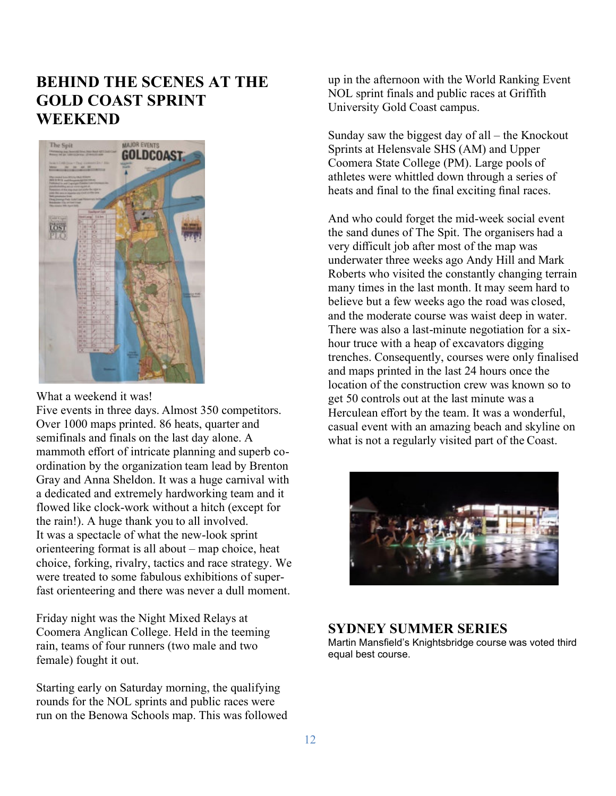# **BEHIND THE SCENES AT THE GOLD COAST SPRINT WEEKEND**



What a weekend it was!

Five events in three days. Almost 350 competitors. Over 1000 maps printed. 86 heats, quarter and semifinals and finals on the last day alone. A mammoth effort of intricate planning and superb coordination by the organization team lead by Brenton Gray and Anna Sheldon. It was a huge carnival with a dedicated and extremely hardworking team and it flowed like clock-work without a hitch (except for the rain!). A huge thank you to all involved. It was a spectacle of what the new-look sprint orienteering format is all about – map choice, heat choice, forking, rivalry, tactics and race strategy. We were treated to some fabulous exhibitions of superfast orienteering and there was never a dull moment.

Friday night was the Night Mixed Relays at Coomera Anglican College. Held in the teeming rain, teams of four runners (two male and two female) fought it out.

Starting early on Saturday morning, the qualifying rounds for the NOL sprints and public races were run on the Benowa Schools map. This was followed up in the afternoon with the World Ranking Event NOL sprint finals and public races at Griffith University Gold Coast campus.

Sunday saw the biggest day of all – the Knockout Sprints at Helensvale SHS (AM) and Upper Coomera State College (PM). Large pools of athletes were whittled down through a series of heats and final to the final exciting final races.

And who could forget the mid-week social event the sand dunes of The Spit. The organisers had a very difficult job after most of the map was underwater three weeks ago Andy Hill and Mark Roberts who visited the constantly changing terrain many times in the last month. It may seem hard to believe but a few weeks ago the road was closed, and the moderate course was waist deep in water. There was also a last-minute negotiation for a sixhour truce with a heap of excavators digging trenches. Consequently, courses were only finalised and maps printed in the last 24 hours once the location of the construction crew was known so to get 50 controls out at the last minute was a Herculean effort by the team. It was a wonderful, casual event with an amazing beach and skyline on what is not a regularly visited part of the Coast.



### **SYDNEY SUMMER SERIES**

Martin Mansfield's Knightsbridge course was voted third equal best course.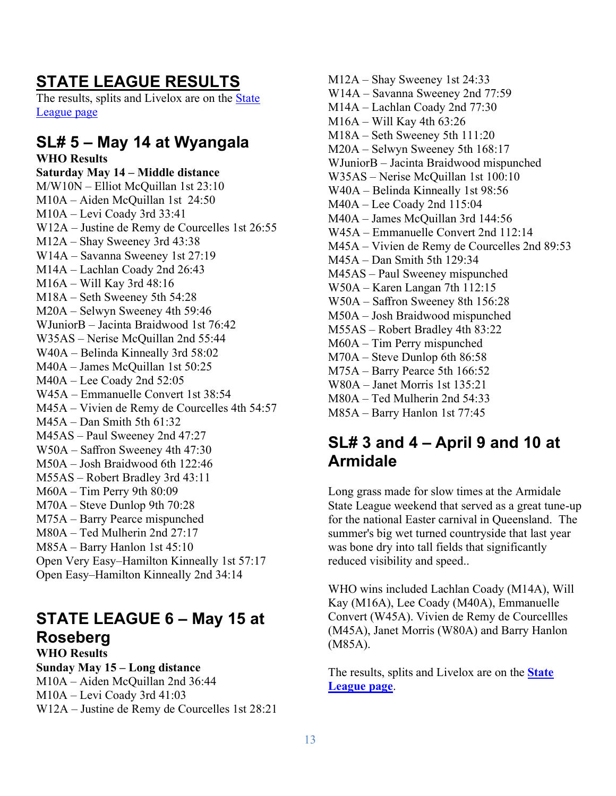# **STATE LEAGUE RESULTS**

The results, splits and Livelox are on the State League page

# **SL# 5 – May 14 at Wyangala**

**WHO Results Saturday May 14 – Middle distance** M/W10N – Elliot McQuillan 1st 23:10 M10A – Aiden McQuillan 1st 24:50 M10A – Levi Coady 3rd 33:41 W12A – Justine de Remy de Courcelles 1st 26:55 M12A – Shay Sweeney 3rd 43:38 W14A – Savanna Sweeney 1st 27:19 M14A – Lachlan Coady 2nd 26:43 M16A – Will Kay 3rd 48:16 M18A – Seth Sweeney 5th 54:28 M20A – Selwyn Sweeney 4th 59:46 WJuniorB – Jacinta Braidwood 1st 76:42 W35AS – Nerise McQuillan 2nd 55:44 W40A – Belinda Kinneally 3rd 58:02 M40A – James McQuillan 1st 50:25 M40A – Lee Coady 2nd 52:05 W45A – Emmanuelle Convert 1st 38:54 M45A – Vivien de Remy de Courcelles 4th 54:57 M45A – Dan Smith 5th 61:32 M45AS – Paul Sweeney 2nd 47:27 W50A – Saffron Sweeney 4th 47:30 M50A – Josh Braidwood 6th 122:46 M55AS – Robert Bradley 3rd 43:11 M60A – Tim Perry 9th 80:09 M70A – Steve Dunlop 9th 70:28 M75A – Barry Pearce mispunched M80A – Ted Mulherin 2nd 27:17 M85A – Barry Hanlon 1st 45:10 Open Very Easy–Hamilton Kinneally 1st 57:17 Open Easy–Hamilton Kinneally 2nd 34:14

# **STATE LEAGUE 6 – May 15 at Roseberg**

**WHO Results Sunday May 15 – Long distance** M10A – Aiden McQuillan 2nd 36:44 M10A – Levi Coady 3rd 41:03 W12A – Justine de Remy de Courcelles 1st 28:21 M12A – Shay Sweeney 1st 24:33 W14A – Savanna Sweeney 2nd 77:59 M14A – Lachlan Coady 2nd 77:30 M16A – Will Kay 4th 63:26 M18A – Seth Sweeney 5th 111:20 M20A – Selwyn Sweeney 5th 168:17 WJuniorB – Jacinta Braidwood mispunched W35AS – Nerise McQuillan 1st 100:10 W40A – Belinda Kinneally 1st 98:56 M40A – Lee Coady 2nd 115:04 M40A – James McQuillan 3rd 144:56 W45A – Emmanuelle Convert 2nd 112:14 M45A – Vivien de Remy de Courcelles 2nd 89:53 M45A – Dan Smith 5th 129:34 M45AS – Paul Sweeney mispunched W50A – Karen Langan 7th 112:15 W50A – Saffron Sweeney 8th 156:28 M50A – Josh Braidwood mispunched M55AS – Robert Bradley 4th 83:22 M60A – Tim Perry mispunched M70A – Steve Dunlop 6th 86:58 M75A – Barry Pearce 5th 166:52 W80A – Janet Morris 1st 135:21 M80A – Ted Mulherin 2nd 54:33 M85A – Barry Hanlon 1st 77:45

# **SL# 3 and 4 – April 9 and 10 at Armidale**

Long grass made for slow times at the Armidale State League weekend that served as a great tune-up for the national Easter carnival in Queensland. The summer's big wet turned countryside that last year was bone dry into tall fields that significantly reduced visibility and speed..

WHO wins included Lachlan Coady (M14A), Will Kay (M16A), Lee Coady (M40A), Emmanuelle Convert (W45A). Vivien de Remy de Courcellles (M45A), Janet Morris (W80A) and Barry Hanlon (M85A).

The results, splits and Livelox are on the **State League page**.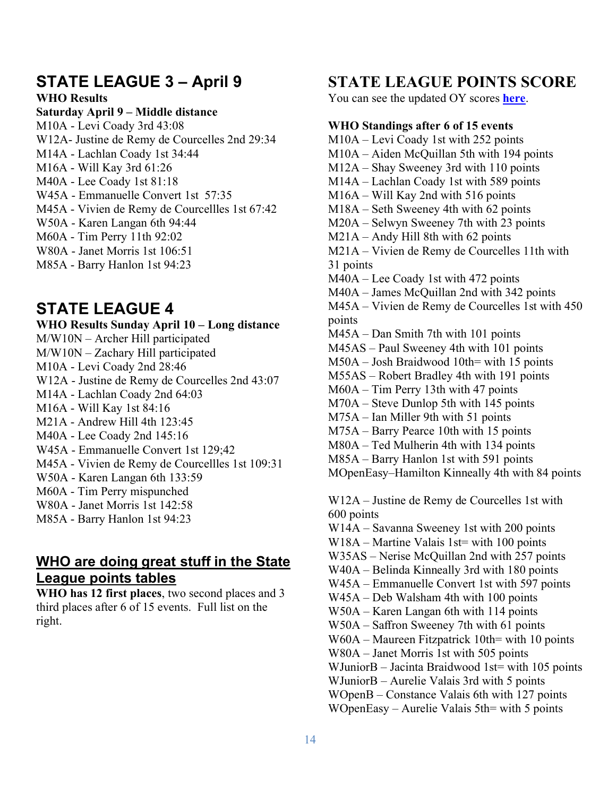# **STATE LEAGUE 3 – April 9**

**WHO Results**

#### **Saturday April 9 – Middle distance**

M10A - Levi Coady 3rd 43:08 W12A- Justine de Remy de Courcelles 2nd 29:34 M14A - Lachlan Coady 1st 34:44 M16A - Will Kay 3rd 61:26 M40A - Lee Coady 1st 81:18 W45A - Emmanuelle Convert 1st 57:35 M45A - Vivien de Remy de Courcellles 1st 67:42 W50A - Karen Langan 6th 94:44 M60A - Tim Perry 11th 92:02 W80A - Janet Morris 1st 106:51 M85A - Barry Hanlon 1st 94:23

# **STATE LEAGUE 4**

**WHO Results Sunday April 10 – Long distance** M/W10N – Archer Hill participated M/W10N – Zachary Hill participated M10A - Levi Coady 2nd 28:46 W12A - Justine de Remy de Courcelles 2nd 43:07 M14A - Lachlan Coady 2nd 64:03 M16A - Will Kay 1st 84:16 M21A - Andrew Hill 4th 123:45 M40A - Lee Coady 2nd 145:16 W45A - Emmanuelle Convert 1st 129;42 M45A - Vivien de Remy de Courcellles 1st 109:31 W50A - Karen Langan 6th 133:59 M60A - Tim Perry mispunched W80A - Janet Morris 1st 142:58 M85A - Barry Hanlon 1st 94:23

# **WHO are doing great stuff in the State League points tables**

**WHO has 12 first places**, two second places and 3 third places after 6 of 15 events. Full list on the right.

# **STATE LEAGUE POINTS SCORE**

You can see the updated OY scores **here**.

#### **WHO Standings after 6 of 15 events**

M10A – Levi Coady 1st with 252 points M10A – Aiden McQuillan 5th with 194 points M12A – Shay Sweeney 3rd with 110 points M14A – Lachlan Coady 1st with 589 points M16A – Will Kay 2nd with 516 points M18A – Seth Sweeney 4th with 62 points M20A – Selwyn Sweeney 7th with 23 points M21A – Andy Hill 8th with 62 points M21A – Vivien de Remy de Courcelles 11th with 31 points M40A – Lee Coady 1st with 472 points M40A – James McQuillan 2nd with 342 points M45A – Vivien de Remy de Courcelles 1st with 450 points M45A – Dan Smith 7th with 101 points M45AS – Paul Sweeney 4th with 101 points M50A – Josh Braidwood 10th= with 15 points M55AS – Robert Bradley 4th with 191 points M60A – Tim Perry 13th with 47 points M70A – Steve Dunlop 5th with 145 points M75A – Ian Miller 9th with 51 points M75A – Barry Pearce 10th with 15 points M80A – Ted Mulherin 4th with 134 points M85A – Barry Hanlon 1st with 591 points MOpenEasy–Hamilton Kinneally 4th with 84 points W12A – Justine de Remy de Courcelles 1st with 600 points W14A – Savanna Sweeney 1st with 200 points W18A – Martine Valais 1st= with 100 points W35AS – Nerise McQuillan 2nd with 257 points W40A – Belinda Kinneally 3rd with 180 points W45A – Emmanuelle Convert 1st with 597 points W45A – Deb Walsham 4th with 100 points W50A – Karen Langan 6th with 114 points W50A – Saffron Sweeney 7th with 61 points W60A – Maureen Fitzpatrick 10th= with 10 points W80A – Janet Morris 1st with 505 points WJuniorB – Jacinta Braidwood 1st= with 105 points WJuniorB – Aurelie Valais 3rd with 5 points WOpenB – Constance Valais 6th with 127 points

WOpenEasy – Aurelie Valais 5th= with 5 points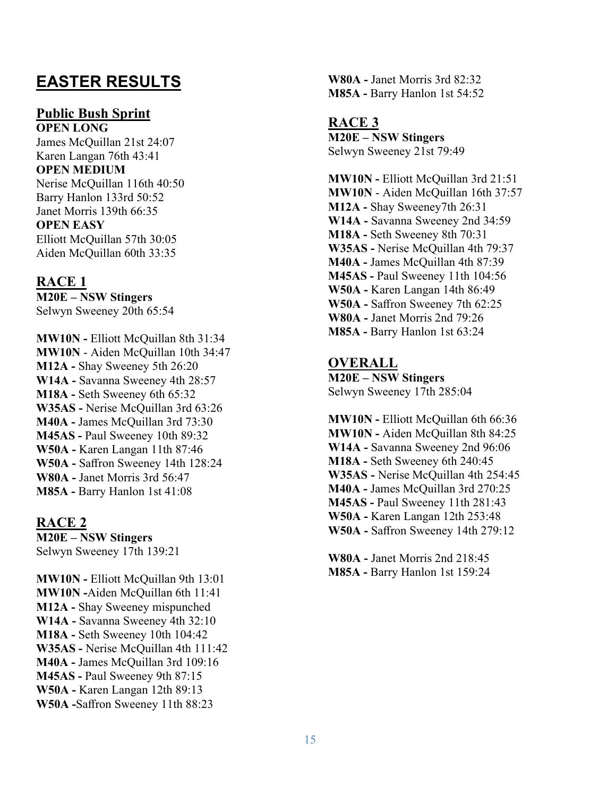# **EASTER RESULTS**

### **Public Bush Sprint**

**OPEN LONG** James McQuillan 21st 24:07 Karen Langan 76th 43:41 **OPEN MEDIUM** Nerise McQuillan 116th 40:50 Barry Hanlon 133rd 50:52 Janet Morris 139th 66:35 **OPEN EASY** Elliott McQuillan 57th 30:05 Aiden McQuillan 60th 33:35

**RACE 1 M20E – NSW Stingers** Selwyn Sweeney 20th 65:54

**MW10N -** Elliott McQuillan 8th 31:34 **MW10N** - Aiden McQuillan 10th 34:47 **M12A -** Shay Sweeney 5th 26:20 **W14A -** Savanna Sweeney 4th 28:57 **M18A -** Seth Sweeney 6th 65:32 **W35AS -** Nerise McQuillan 3rd 63:26 **M40A -** James McQuillan 3rd 73:30 **M45AS -** Paul Sweeney 10th 89:32 **W50A -** Karen Langan 11th 87:46 **W50A -** Saffron Sweeney 14th 128:24 **W80A -** Janet Morris 3rd 56:47 **M85A -** Barry Hanlon 1st 41:08

### **RACE 2**

**M20E – NSW Stingers** Selwyn Sweeney 17th 139:21

**MW10N -** Elliott McQuillan 9th 13:01 **MW10N -**Aiden McQuillan 6th 11:41 **M12A -** Shay Sweeney mispunched **W14A -** Savanna Sweeney 4th 32:10 **M18A -** Seth Sweeney 10th 104:42 **W35AS -** Nerise McQuillan 4th 111:42 **M40A -** James McQuillan 3rd 109:16 **M45AS -** Paul Sweeney 9th 87:15 **W50A -** Karen Langan 12th 89:13 **W50A -**Saffron Sweeney 11th 88:23

**W80A -** Janet Morris 3rd 82:32 **M85A -** Barry Hanlon 1st 54:52

**RACE 3 M20E – NSW Stingers** Selwyn Sweeney 21st 79:49

**MW10N -** Elliott McQuillan 3rd 21:51 **MW10N** - Aiden McQuillan 16th 37:57 **M12A -** Shay Sweeney7th 26:31 **W14A -** Savanna Sweeney 2nd 34:59 **M18A -** Seth Sweeney 8th 70:31 **W35AS -** Nerise McQuillan 4th 79:37 **M40A -** James McQuillan 4th 87:39 **M45AS -** Paul Sweeney 11th 104:56 **W50A -** Karen Langan 14th 86:49 **W50A -** Saffron Sweeney 7th 62:25 **W80A -** Janet Morris 2nd 79:26 **M85A -** Barry Hanlon 1st 63:24

**OVERALL M20E – NSW Stingers** Selwyn Sweeney 17th 285:04

**MW10N -** Elliott McQuillan 6th 66:36 **MW10N -** Aiden McQuillan 8th 84:25 **W14A -** Savanna Sweeney 2nd 96:06 **M18A -** Seth Sweeney 6th 240:45 **W35AS -** Nerise McQuillan 4th 254:45 **M40A -** James McQuillan 3rd 270:25 **M45AS -** Paul Sweeney 11th 281:43 **W50A -** Karen Langan 12th 253:48 **W50A -** Saffron Sweeney 14th 279:12

**W80A -** Janet Morris 2nd 218:45 **M85A -** Barry Hanlon 1st 159:24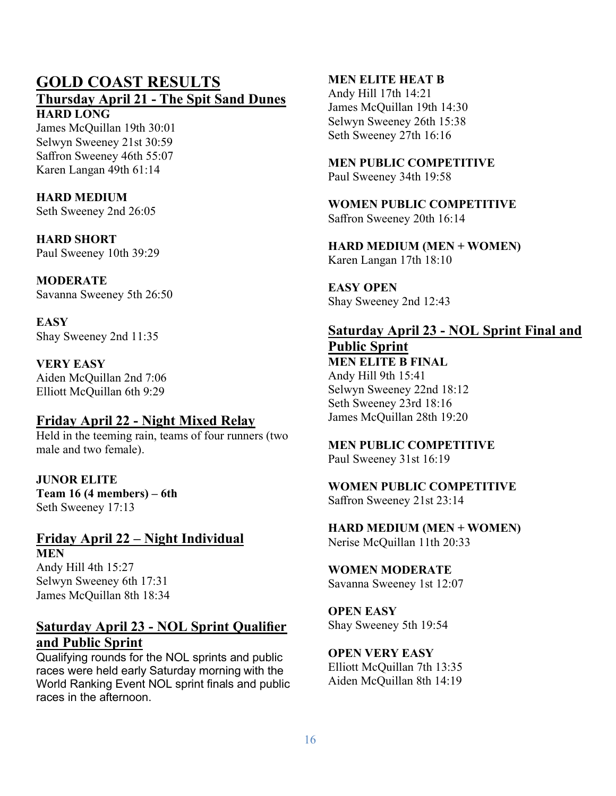# **GOLD COAST RESULTS**

#### **Thursday April 21 - The Spit Sand Dunes HARD LONG**

James McQuillan 19th 30:01 Selwyn Sweeney 21st 30:59 Saffron Sweeney 46th 55:07 Karen Langan 49th 61:14

# **HARD MEDIUM**

Seth Sweeney 2nd 26:05

# **HARD SHORT**

Paul Sweeney 10th 39:29

**MODERATE** Savanna Sweeney 5th 26:50

**EASY** Shay Sweeney 2nd 11:35

### **VERY EASY**

Aiden McQuillan 2nd 7:06 Elliott McQuillan 6th 9:29

# **Friday April 22 - Night Mixed Relay**

Held in the teeming rain, teams of four runners (two male and two female).

### **JUNOR ELITE Team 16 (4 members) – 6th** Seth Sweeney 17:13

### **Friday April 22 – Night Individual MEN**

Andy Hill 4th 15:27 Selwyn Sweeney 6th 17:31 James McQuillan 8th 18:34

# **Saturday April 23 - NOL Sprint Qualifier and Public Sprint**

Qualifying rounds for the NOL sprints and public races were held early Saturday morning with the World Ranking Event NOL sprint finals and public races in the afternoon.

### **MEN ELITE HEAT B**

Andy Hill 17th 14:21 James McQuillan 19th 14:30 Selwyn Sweeney 26th 15:38 Seth Sweeney 27th 16:16

# **MEN PUBLIC COMPETITIVE**

Paul Sweeney 34th 19:58

#### **WOMEN PUBLIC COMPETITIVE** Saffron Sweeney 20th 16:14

**HARD MEDIUM (MEN + WOMEN)** Karen Langan 17th 18:10

**EASY OPEN** Shay Sweeney 2nd 12:43

# **Saturday April 23 - NOL Sprint Final and Public Sprint**

**MEN ELITE B FINAL** Andy Hill 9th 15:41 Selwyn Sweeney 22nd 18:12 Seth Sweeney 23rd 18:16 James McQuillan 28th 19:20

### **MEN PUBLIC COMPETITIVE**

Paul Sweeney 31st 16:19

### **WOMEN PUBLIC COMPETITIVE** Saffron Sweeney 21st 23:14

**HARD MEDIUM (MEN + WOMEN)** Nerise McQuillan 11th 20:33

**WOMEN MODERATE** Savanna Sweeney 1st 12:07

### **OPEN EASY** Shay Sweeney 5th 19:54

**OPEN VERY EASY** Elliott McQuillan 7th 13:35 Aiden McQuillan 8th 14:19